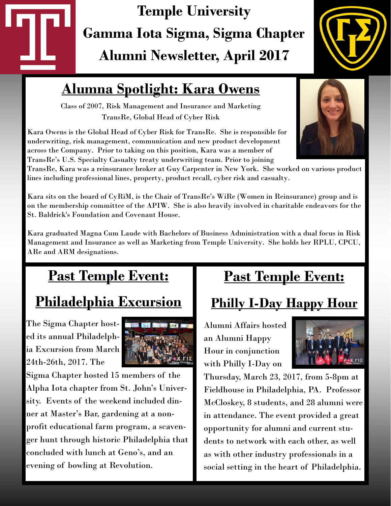# **Temple University Gamma Iota Sigma, Sigma Chapter Alumni Newsletter, April 2017**



## **Alumna Spotlight: Kara Owens**

Class of 2007, Risk Management and Insurance and Marketing TransRe, Global Head of Cyber Risk

Kara Owens is the Global Head of Cyber Risk for TransRe. She is responsible for underwriting, risk management, communication and new product development across the Company. Prior to taking on this position, Kara was a member of TransRe's U.S. Specialty Casualty treaty underwriting team. Prior to joining

TransRe, Kara was a reinsurance broker at Guy Carpenter in New York. She worked on various product lines including professional lines, property, product recall, cyber risk and casualty.

Kara sits on the board of CyRiM, is the Chair of TransRe's WiRe (Women in Reinsurance) group and is on the membership committee of the APIW. She is also heavily involved in charitable endeavors for the St. Baldrick's Foundation and Covenant House.

Kara graduated Magna Cum Laude with Bachelors of Business Administration with a dual focus in Risk Management and Insurance as well as Marketing from Temple University. She holds her RPLU, CPCU, ARe and ARM designations.

# **Past Temple Event:** *<sup>=</sup>*

# **Philadelphia Excursion**

The Sigma Chapter hosted its annual Philadelphia Excursion from March 24th-26th, 2017. The



Sigma Chapter hosted 15 members of the Alpha Iota chapter from St. John's University. Events of the weekend included dinner at Master's Bar, gardening at a nonprofit educational farm program, a scavenger hunt through historic Philadelphia that concluded with lunch at Geno's, and an evening of bowling at Revolution.

## **Past Temple Event:**

## **Philly I-Day Happy Hour**

Alumni Affairs hosted an Alumni Happy Hour in conjunction with Philly I-Day on



Thursday, March 23, 2017, from 5-8pm at Fieldhouse in Philadelphia, PA. Professor McCloskey, 8 students, and 28 alumni were in attendance. The event provided a great opportunity for alumni and current students to network with each other, as well as with other industry professionals in a social setting in the heart of Philadelphia.